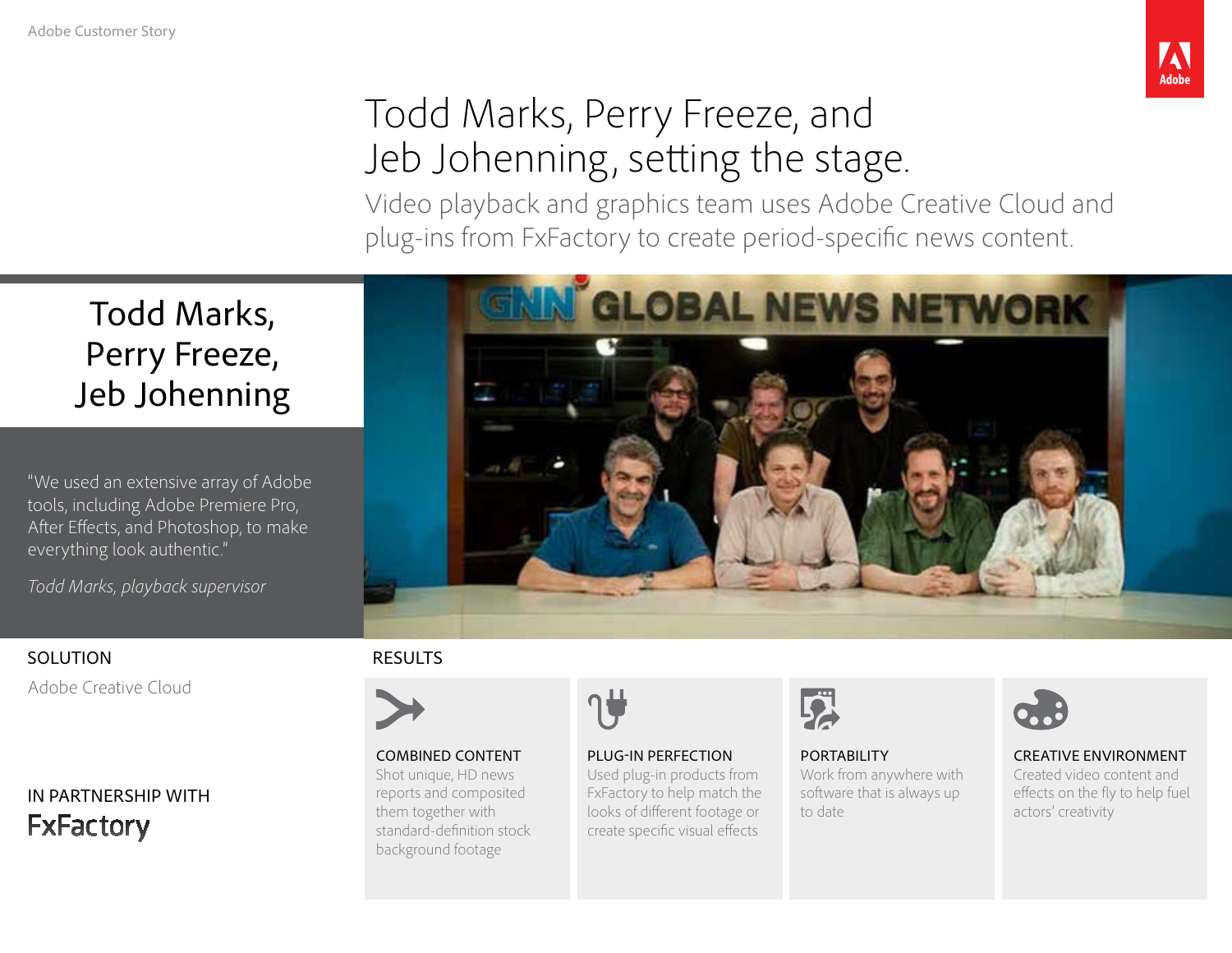

# Todd Marks, Perry Freeze, and Jeb Johenning, setting the stage.

Video playback and graphics team uses Adobe Creative Cloud and plug-ins from FxFactory to create period-specific news content.

# Todd Marks, Perry Freeze, Jeb Johenning

"We used an extensive array of Adobe tools, including Adobe Premiere Pro, After Effects, and Photoshop, to make everything look authentic."

*Todd Marks, playback supervisor*

## SOLUTION

Adobe Creative Cloud

# IN PARTNERSHIP WITH **FxFactory**



#### RESULTS



#### COMBINED CONTENT Shot unique, HD news reports and composited them together with standard-definition stock background footage



#### PLUG-IN PERFECTION Used plug-in products from FxFactory to help match the looks of different footage or create specific visual effects



#### **PORTABILITY** Work from anywhere with software that is always up to date



## CREATIVE ENVIRONMENT Created video content and

effects on the fly to help fuel actors' creativity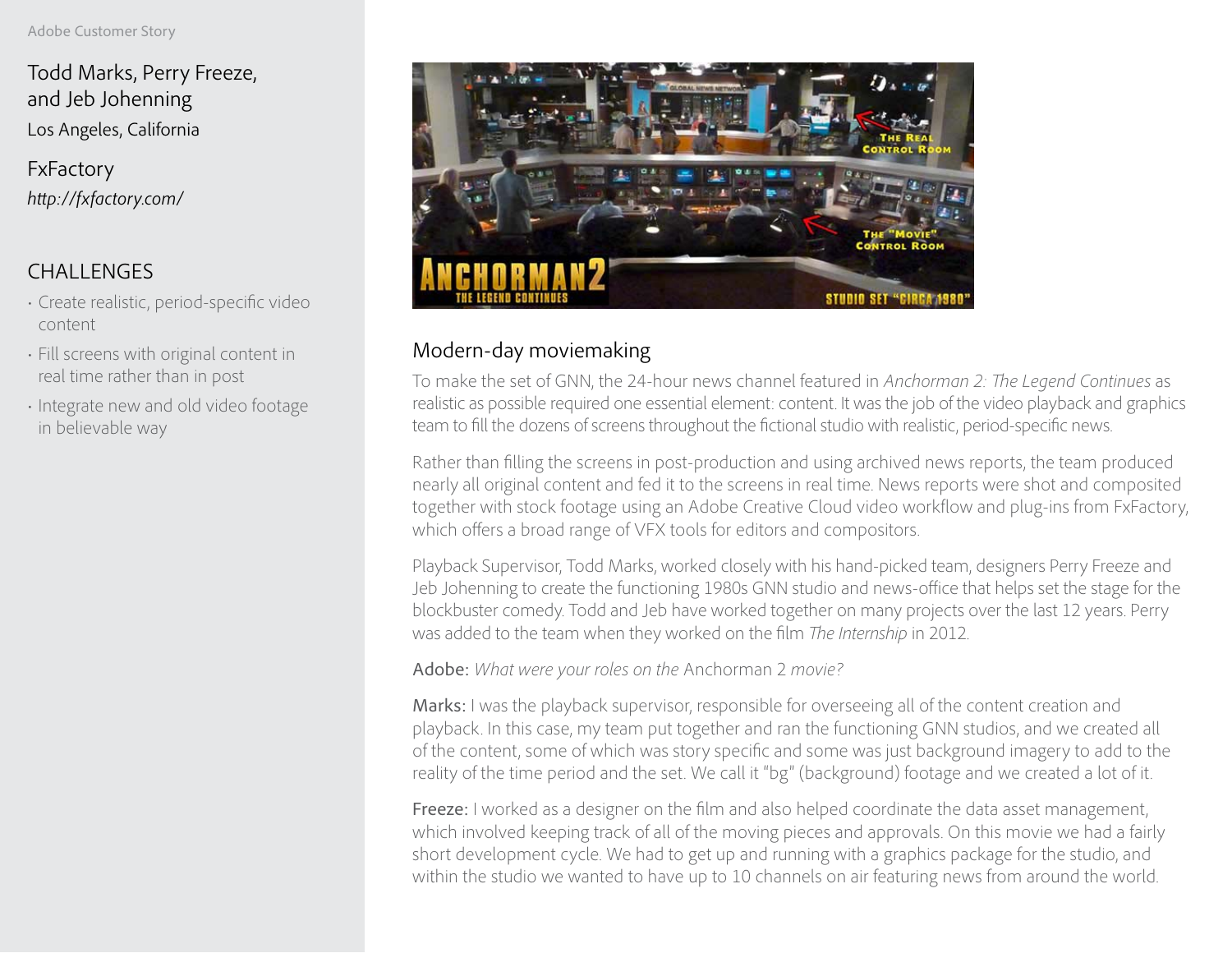Todd Marks, Perry Freeze, and Jeb Johenning Los Angeles, California

FxFactory *http://fxfactory.com/*

# CHALLENGES

- Create realistic, period-specific video content
- Fill screens with original content in real time rather than in post
- Integrate new and old video footage in believable way



## Modern-day moviemaking

To make the set of GNN, the 24-hour news channel featured in *Anchorman 2: The Legend Continues* as realistic as possible required one essential element: content. It was the job of the video playback and graphics team to fill the dozens of screens throughout the fictional studio with realistic, period-specific news.

Rather than filling the screens in post-production and using archived news reports, the team produced nearly all original content and fed it to the screens in real time. News reports were shot and composited together with stock footage using an Adobe Creative Cloud video workflow and plug-ins from FxFactory, which offers a broad range of VFX tools for editors and compositors.

Playback Supervisor, Todd Marks, worked closely with his hand-picked team, designers Perry Freeze and Jeb Johenning to create the functioning 1980s GNN studio and news-office that helps set the stage for the blockbuster comedy. Todd and Jeb have worked together on many projects over the last 12 years. Perry was added to the team when they worked on the film *The Internship* in 2012.

## Adobe: *What were your roles on the* Anchorman 2 *movie?*

Marks: I was the playback supervisor, responsible for overseeing all of the content creation and playback. In this case, my team put together and ran the functioning GNN studios, and we created all of the content, some of which was story specific and some was just background imagery to add to the reality of the time period and the set. We call it "bg" (background) footage and we created a lot of it.

Freeze: I worked as a designer on the film and also helped coordinate the data asset management, which involved keeping track of all of the moving pieces and approvals. On this movie we had a fairly short development cycle. We had to get up and running with a graphics package for the studio, and within the studio we wanted to have up to 10 channels on air featuring news from around the world.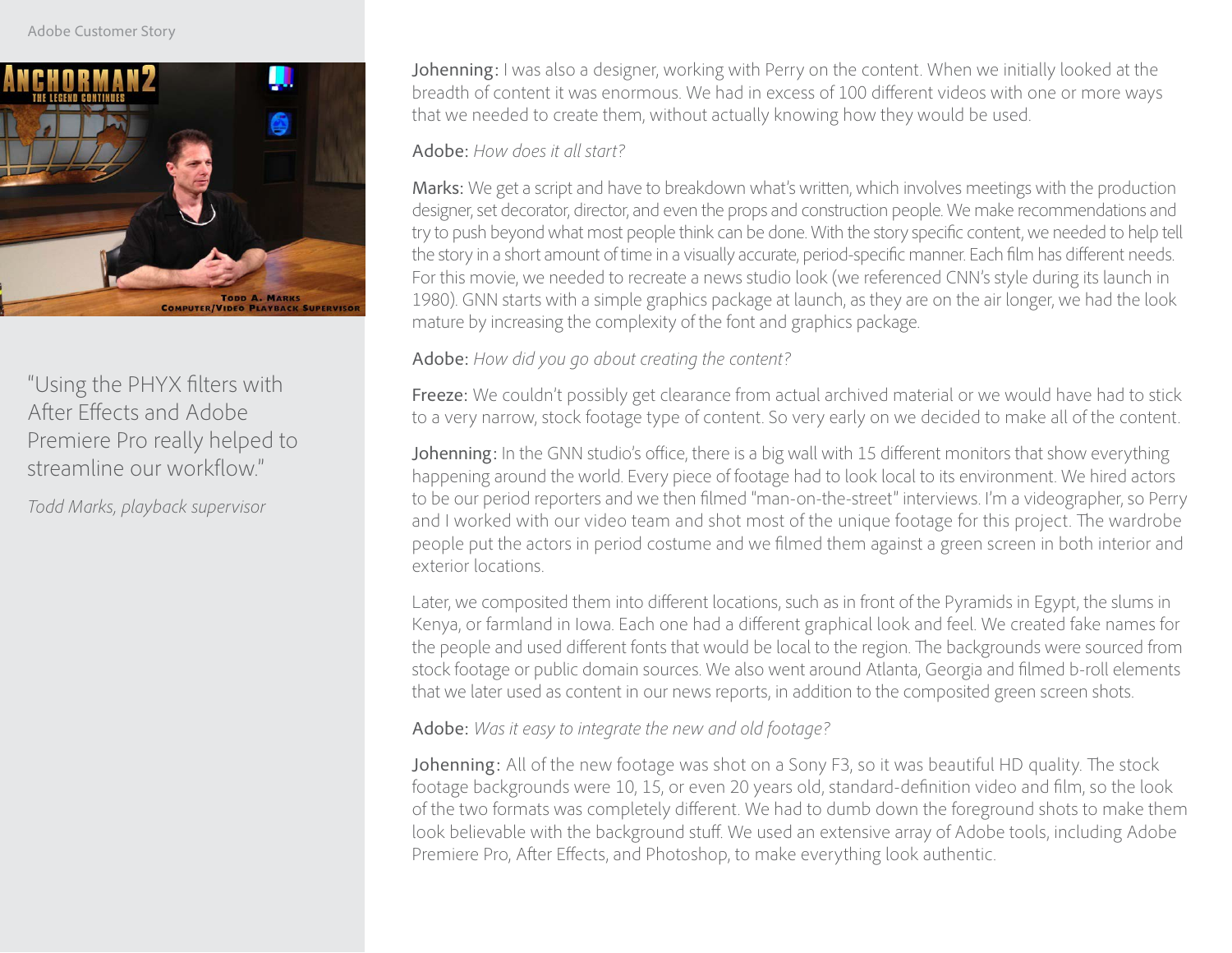

"Using the PHYX filters with After Effects and Adobe Premiere Pro really helped to streamline our workflow."

*Todd Marks, playback supervisor*

Johenning: I was also a designer, working with Perry on the content. When we initially looked at the breadth of content it was enormous. We had in excess of 100 different videos with one or more ways that we needed to create them, without actually knowing how they would be used.

#### Adobe: *How does it all start?*

Marks: We get a script and have to breakdown what's written, which involves meetings with the production designer, set decorator, director, and even the props and construction people. We make recommendations and try to push beyond what most people think can be done. With the story specific content, we needed to help tell the story in a short amount of time in a visually accurate, period-specific manner. Each film has different needs. For this movie, we needed to recreate a news studio look (we referenced CNN's style during its launch in 1980). GNN starts with a simple graphics package at launch, as they are on the air longer, we had the look mature by increasing the complexity of the font and graphics package.

## Adobe: *How did you go about creating the content?*

Freeze: We couldn't possibly get clearance from actual archived material or we would have had to stick to a very narrow, stock footage type of content. So very early on we decided to make all of the content.

Johenning: In the GNN studio's office, there is a big wall with 15 different monitors that show everything happening around the world. Every piece of footage had to look local to its environment. We hired actors to be our period reporters and we then filmed "man-on-the-street" interviews. I'm a videographer, so Perry and I worked with our video team and shot most of the unique footage for this project. The wardrobe people put the actors in period costume and we filmed them against a green screen in both interior and exterior locations.

Later, we composited them into different locations, such as in front of the Pyramids in Egypt, the slums in Kenya, or farmland in Iowa. Each one had a different graphical look and feel. We created fake names for the people and used different fonts that would be local to the region. The backgrounds were sourced from stock footage or public domain sources. We also went around Atlanta, Georgia and filmed b-roll elements that we later used as content in our news reports, in addition to the composited green screen shots.

## Adobe: *Was it easy to integrate the new and old footage?*

Johenning: All of the new footage was shot on a Sony F3, so it was beautiful HD quality. The stock footage backgrounds were 10, 15, or even 20 years old, standard-definition video and film, so the look of the two formats was completely different. We had to dumb down the foreground shots to make them look believable with the background stuff. We used an extensive array of Adobe tools, including Adobe Premiere Pro, After Effects, and Photoshop, to make everything look authentic.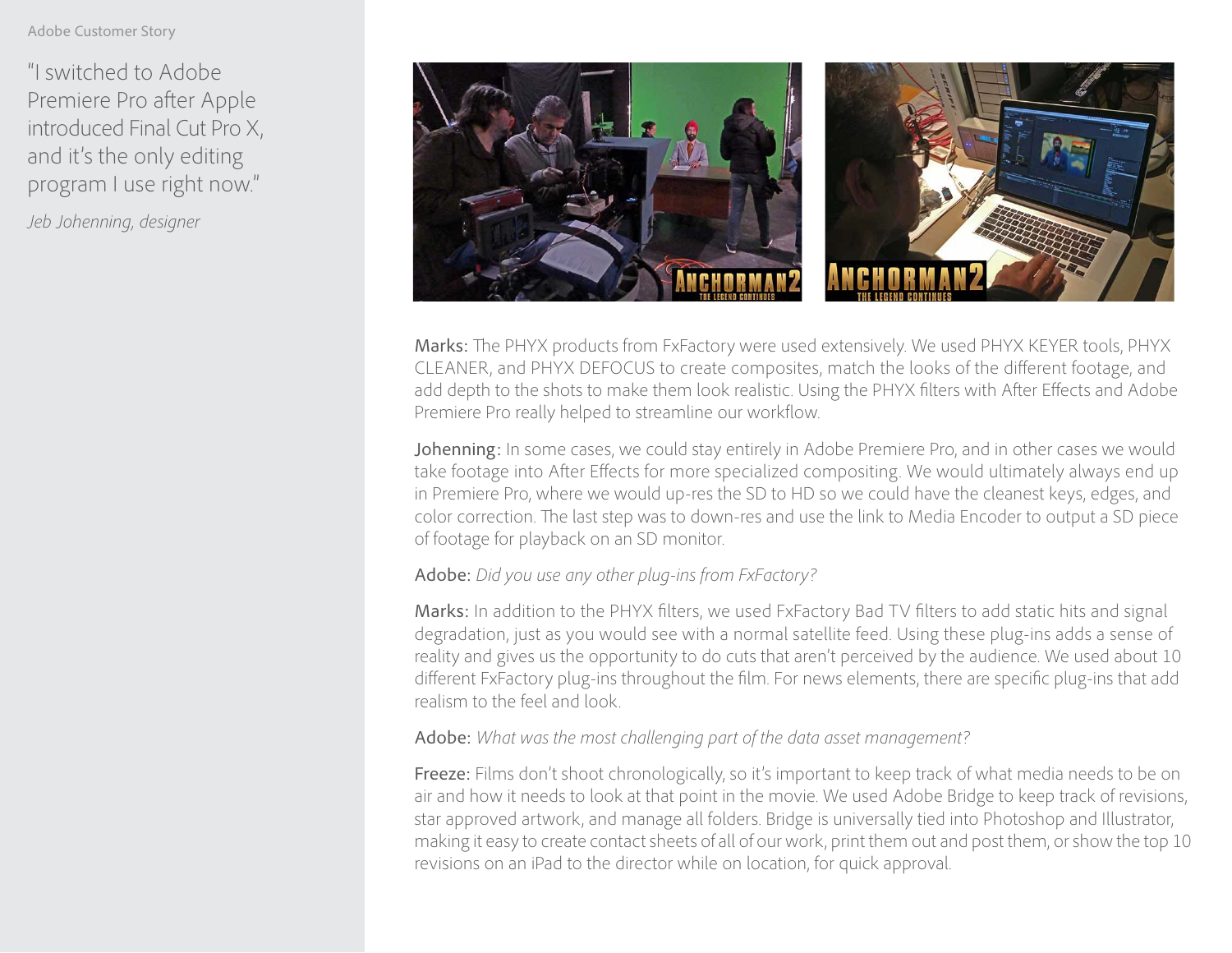#### Adobe Customer Story

"I switched to Adobe Premiere Pro after Apple introduced Final Cut Pro X, and it's the only editing program I use right now."

*Jeb Johenning, designer*



Marks: The PHYX products from FxFactory were used extensively. We used PHYX KEYER tools, PHYX CLEANER, and PHYX DEFOCUS to create composites, match the looks of the different footage, and add depth to the shots to make them look realistic. Using the PHYX filters with After Effects and Adobe Premiere Pro really helped to streamline our workflow.

Johenning: In some cases, we could stay entirely in Adobe Premiere Pro, and in other cases we would take footage into After Effects for more specialized compositing. We would ultimately always end up in Premiere Pro, where we would up-res the SD to HD so we could have the cleanest keys, edges, and color correction. The last step was to down-res and use the link to Media Encoder to output a SD piece of footage for playback on an SD monitor.

## Adobe: *Did you use any other plug-ins from FxFactory?*

Marks: In addition to the PHYX filters, we used FxFactory Bad TV filters to add static hits and signal degradation, just as you would see with a normal satellite feed. Using these plug-ins adds a sense of reality and gives us the opportunity to do cuts that aren't perceived by the audience. We used about 10 different FxFactory plug-ins throughout the film. For news elements, there are specific plug-ins that add realism to the feel and look.

#### Adobe: *What was the most challenging part of the data asset management?*

Freeze: Films don't shoot chronologically, so it's important to keep track of what media needs to be on air and how it needs to look at that point in the movie. We used Adobe Bridge to keep track of revisions, star approved artwork, and manage all folders. Bridge is universally tied into Photoshop and Illustrator, making it easy to create contact sheets of all of our work, print them out and post them, or show the top 10 revisions on an iPad to the director while on location, for quick approval.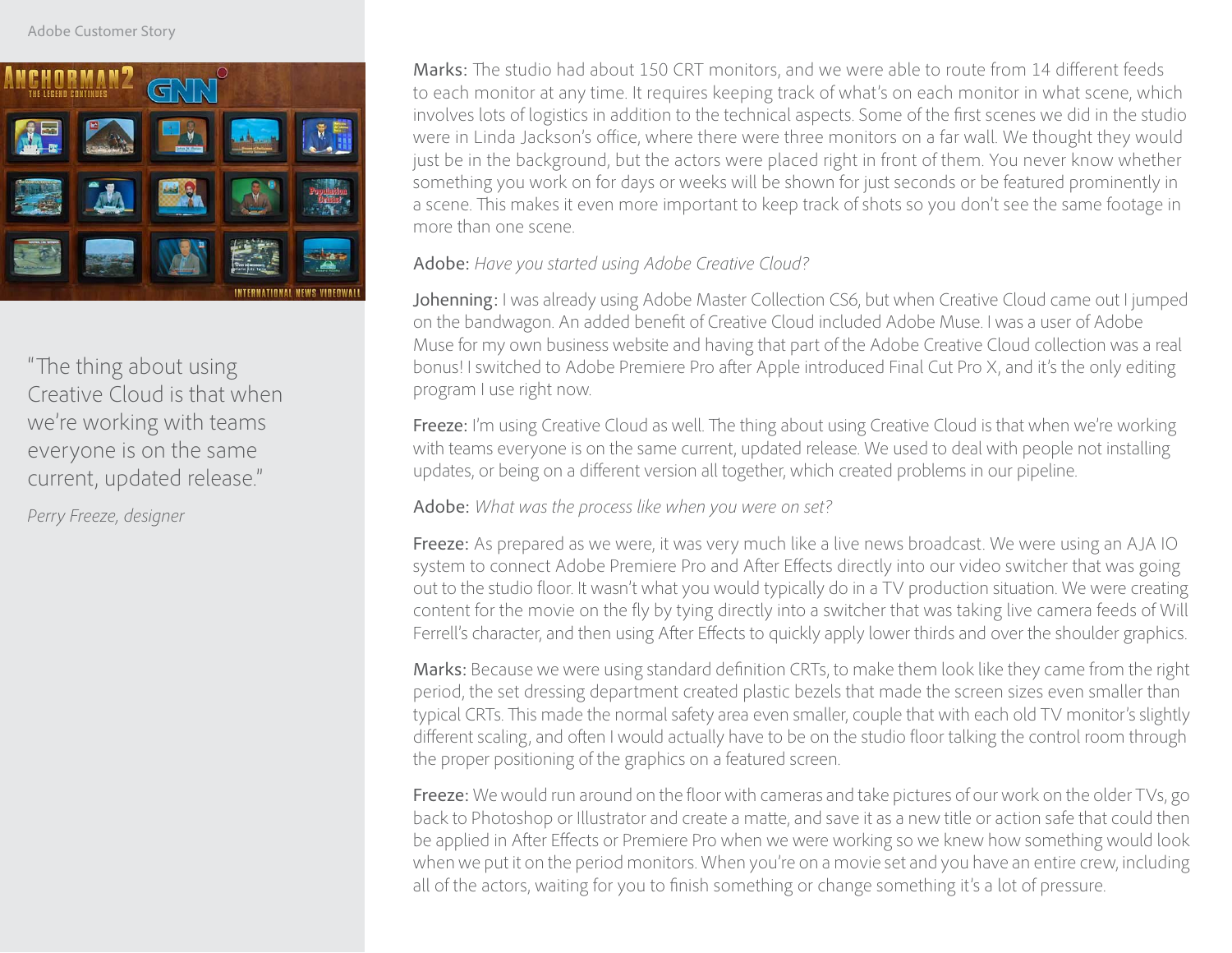

"The thing about using Creative Cloud is that when we're working with teams everyone is on the same current, updated release."

*Perry Freeze, designer*

Marks: The studio had about 150 CRT monitors, and we were able to route from 14 different feeds to each monitor at any time. It requires keeping track of what's on each monitor in what scene, which involves lots of logistics in addition to the technical aspects. Some of the first scenes we did in the studio were in Linda Jackson's office, where there were three monitors on a far wall. We thought they would just be in the background, but the actors were placed right in front of them. You never know whether something you work on for days or weeks will be shown for just seconds or be featured prominently in a scene. This makes it even more important to keep track of shots so you don't see the same footage in more than one scene.

## Adobe: *Have you started using Adobe Creative Cloud?*

Johenning: I was already using Adobe Master Collection CS6, but when Creative Cloud came out I jumped on the bandwagon. An added benefit of Creative Cloud included Adobe Muse. I was a user of Adobe Muse for my own business website and having that part of the Adobe Creative Cloud collection was a real bonus! I switched to Adobe Premiere Pro after Apple introduced Final Cut Pro X, and it's the only editing program I use right now.

Freeze: I'm using Creative Cloud as well. The thing about using Creative Cloud is that when we're working with teams everyone is on the same current, updated release. We used to deal with people not installing updates, or being on a different version all together, which created problems in our pipeline.

## Adobe: *What was the process like when you were on set?*

Freeze: As prepared as we were, it was very much like a live news broadcast. We were using an AJA IO system to connect Adobe Premiere Pro and After Effects directly into our video switcher that was going out to the studio floor. It wasn't what you would typically do in a TV production situation. We were creating content for the movie on the fly by tying directly into a switcher that was taking live camera feeds of Will Ferrell's character, and then using After Effects to quickly apply lower thirds and over the shoulder graphics.

Marks: Because we were using standard definition CRTs, to make them look like they came from the right period, the set dressing department created plastic bezels that made the screen sizes even smaller than typical CRTs. This made the normal safety area even smaller, couple that with each old TV monitor's slightly different scaling, and often I would actually have to be on the studio floor talking the control room through the proper positioning of the graphics on a featured screen.

Freeze: We would run around on the floor with cameras and take pictures of our work on the older TVs, go back to Photoshop or Illustrator and create a matte, and save it as a new title or action safe that could then be applied in After Effects or Premiere Pro when we were working so we knew how something would look when we put it on the period monitors. When you're on a movie set and you have an entire crew, including all of the actors, waiting for you to finish something or change something it's a lot of pressure.